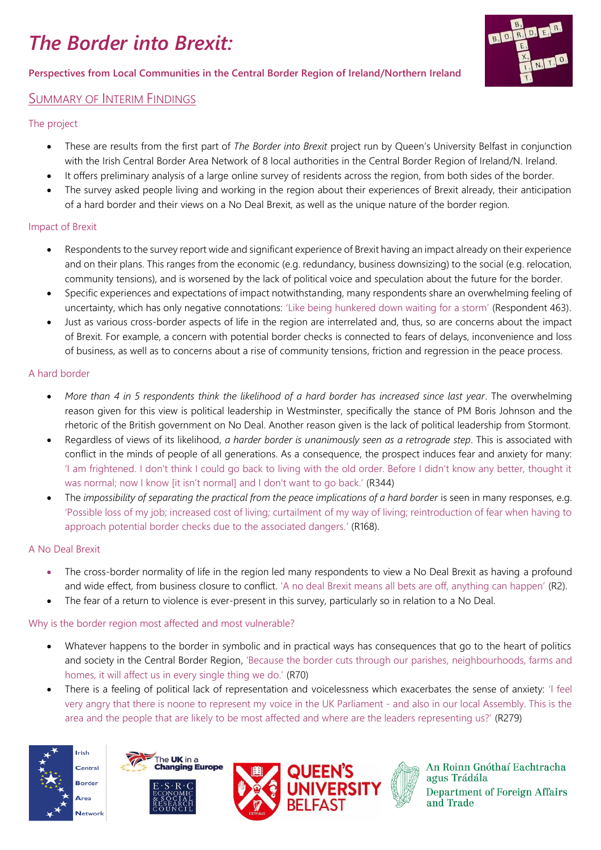# *The Border into Brexit:*

### **Perspectives from Local Communities in the Central Border Region of Ireland/Northern Ireland**

# SUMMARY OF INTERIM FINDINGS

#### The project

- These are results from the first part of *The Border into Brexit* project run by Queen's University Belfast in conjunction with the Irish Central Border Area Network of 8 local authorities in the Central Border Region of Ireland/N. Ireland.
- It offers preliminary analysis of a large online survey of residents across the region, from both sides of the border.
- The survey asked people living and working in the region about their experiences of Brexit already, their anticipation of a hard border and their views on a No Deal Brexit, as well as the unique nature of the border region.

#### Impact of Brexit

- Respondents to the survey report wide and significant experience of Brexit having an impact already on their experience and on their plans. This ranges from the economic (e.g. redundancy, business downsizing) to the social (e.g. relocation, community tensions), and is worsened by the lack of political voice and speculation about the future for the border.
- Specific experiences and expectations of impact notwithstanding, many respondents share an overwhelming feeling of uncertainty, which has only negative connotations: 'Like being hunkered down waiting for a storm' (Respondent 463).
- Just as various cross-border aspects of life in the region are interrelated and, thus, so are concerns about the impact of Brexit. For example, a concern with potential border checks is connected to fears of delays, inconvenience and loss of business, as well as to concerns about a rise of community tensions, friction and regression in the peace process.

# A hard border

- *More than 4 in 5 respondents think the likelihood of a hard border has increased since last year*. The overwhelming reason given for this view is political leadership in Westminster, specifically the stance of PM Boris Johnson and the rhetoric of the British government on No Deal. Another reason given is the lack of political leadership from Stormont.
- Regardless of views of its likelihood, *a harder border is unanimously seen as a retrograde step*. This is associated with conflict in the minds of people of all generations. As a consequence, the prospect induces fear and anxiety for many: 'I am frightened. I don't think I could go back to living with the old order. Before I didn't know any better, thought it was normal; now I know [it isn't normal] and I don't want to go back.' (R344)
- The *impossibility of separating the practical from the peace implications of a hard border* is seen in many responses, e.g. 'Possible loss of my job; increased cost of living; curtailment of my way of living; reintroduction of fear when having to approach potential border checks due to the associated dangers.' (R168).

# A No Deal Brexit

- The cross-border normality of life in the region led many respondents to view a No Deal Brexit as having a profound and wide effect, from business closure to conflict. 'A no deal Brexit means all bets are off, anything can happen' (R2).
- The fear of a return to violence is ever-present in this survey, particularly so in relation to a No Deal.

#### Why is the border region most affected and most vulnerable?

- Whatever happens to the border in symbolic and in practical ways has consequences that go to the heart of politics and society in the Central Border Region, 'Because the border cuts through our parishes, neighbourhoods, farms and homes, it will affect us in every single thing we do.' (R70)
- There is a feeling of political lack of representation and voicelessness which exacerbates the sense of anxiety: 'I feel very angry that there is noone to represent my voice in the UK Parliament - and also in our local Assembly. This is the area and the people that are likely to be most affected and where are the leaders representing us?' (R279)











An Roinn Gnóthaí Eachtracha agus Trádála **Department of Foreign Affairs** and Trade

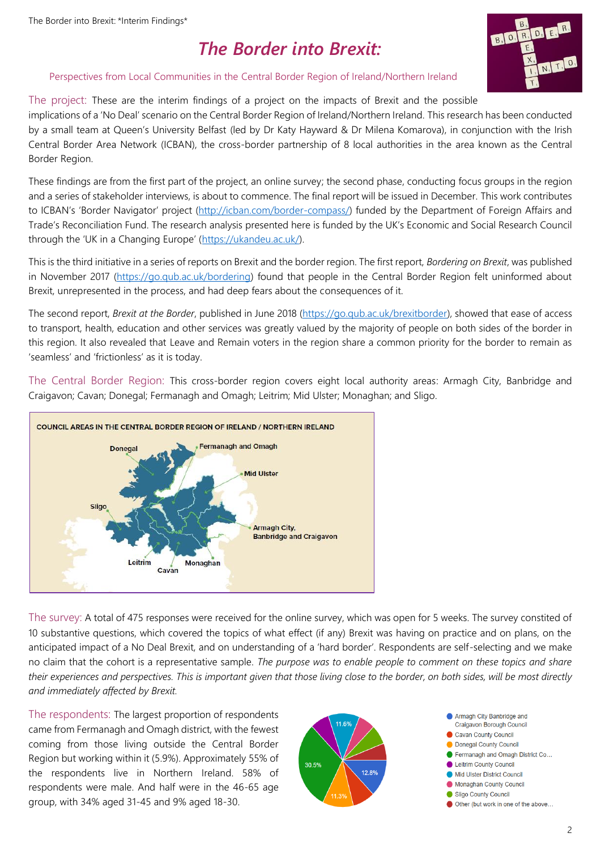# *The Border into Brexit:*



#### Perspectives from Local Communities in the Central Border Region of Ireland/Northern Ireland

# The project: These are the interim findings of a project on the impacts of Brexit and the possible

implications of a 'No Deal' scenario on the Central Border Region of Ireland/Northern Ireland. This research has been conducted by a small team at Queen's University Belfast (led by Dr Katy Hayward & Dr Milena Komarova), in conjunction with the Irish Central Border Area Network (ICBAN), the cross-border partnership of 8 local authorities in the area known as the Central Border Region.

These findings are from the first part of the project, an online survey; the second phase, conducting focus groups in the region and a series of stakeholder interviews, is about to commence. The final report will be issued in December. This work contributes to ICBAN's 'Border Navigator' project [\(http://icban.com/border-compass/\)](http://icban.com/border-compass/) funded by the Department of Foreign Affairs and Trade's Reconciliation Fund. The research analysis presented here is funded by the UK's Economic and Social Research Council through the 'UK in a Changing Europe' ([https://ukandeu.ac.uk/\)](https://ukandeu.ac.uk/).

This is the third initiative in a series of reports on Brexit and the border region. The first report, *Bordering on Brexit*, was published in November 2017 [\(https://go.qub.ac.uk/bordering\)](https://go.qub.ac.uk/bordering) found that people in the Central Border Region felt uninformed about Brexit, unrepresented in the process, and had deep fears about the consequences of it.

The second report, *Brexit at the Border*, published in June 2018 [\(https://go.qub.ac.uk/brexitborder\)](https://go.qub.ac.uk/brexitborder), showed that ease of access to transport, health, education and other services was greatly valued by the majority of people on both sides of the border in this region. It also revealed that Leave and Remain voters in the region share a common priority for the border to remain as 'seamless' and 'frictionless' as it is today.

The Central Border Region: This cross-border region covers eight local authority areas: Armagh City, Banbridge and Craigavon; Cavan; Donegal; Fermanagh and Omagh; Leitrim; Mid Ulster; Monaghan; and Sligo.



The survey: A total of 475 responses were received for the online survey, which was open for 5 weeks. The survey constited of 10 substantive questions, which covered the topics of what effect (if any) Brexit was having on practice and on plans, on the anticipated impact of a No Deal Brexit, and on understanding of a 'hard border'. Respondents are self-selecting and we make no claim that the cohort is a representative sample. *The purpose was to enable people to comment on these topics and share their experiences and perspectives. This is important given that those living close to the border, on both sides, will be most directly and immediately affected by Brexit.*

The respondents: The largest proportion of respondents came from Fermanagh and Omagh district, with the fewest coming from those living outside the Central Border Region but working within it (5.9%). Approximately 55% of the respondents live in Northern Ireland. 58% of respondents were male. And half were in the 46-65 age group, with 34% aged 31-45 and 9% aged 18-30.

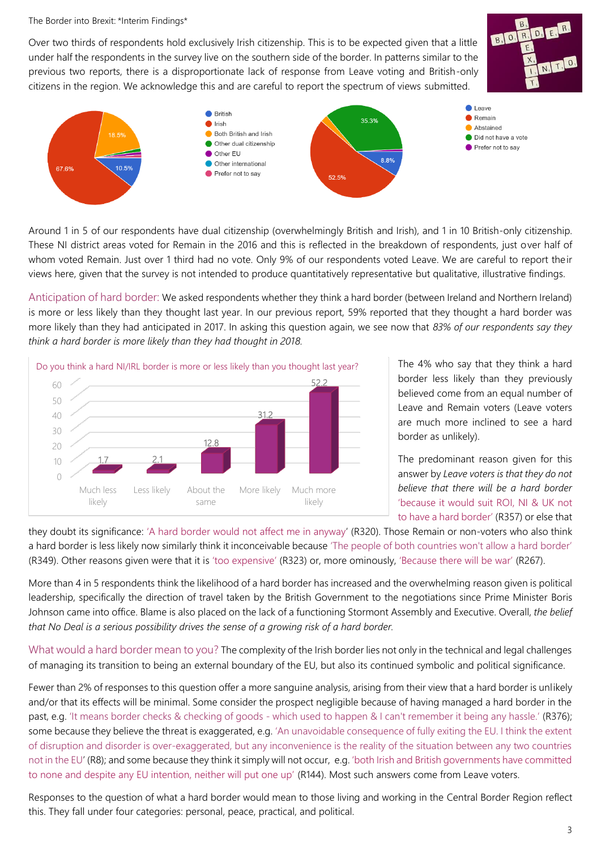Over two thirds of respondents hold exclusively Irish citizenship. This is to be expected given that a little under half the respondents in the survey live on the southern side of the border. In patterns similar to the previous two reports, there is a disproportionate lack of response from Leave voting and British-only citizens in the region. We acknowledge this and are careful to report the spectrum of views submitted.





Around 1 in 5 of our respondents have dual citizenship (overwhelmingly British and Irish), and 1 in 10 British-only citizenship. These NI district areas voted for Remain in the 2016 and this is reflected in the breakdown of respondents, just over half of whom voted Remain. Just over 1 third had no vote. Only 9% of our respondents voted Leave. We are careful to report their views here, given that the survey is not intended to produce quantitatively representative but qualitative, illustrative findings.

Anticipation of hard border: We asked respondents whether they think a hard border (between Ireland and Northern Ireland) is more or less likely than they thought last year. In our previous report, 59% reported that they thought a hard border was more likely than they had anticipated in 2017. In asking this question again, we see now that *83% of our respondents say they think a hard border is more likely than they had thought in 2018.*



The 4% who say that they think a hard border less likely than they previously believed come from an equal number of Leave and Remain voters (Leave voters are much more inclined to see a hard border as unlikely).

The predominant reason given for this answer by *Leave voters is that they do not believe that there will be a hard border* 'because it would suit ROI, NI & UK not to have a hard border' (R357) or else that

they doubt its significance: 'A hard border would not affect me in anyway' (R320). Those Remain or non-voters who also think a hard border is less likely now similarly think it inconceivable because 'The people of both countries won't allow a hard border' (R349). Other reasons given were that it is 'too expensive' (R323) or, more ominously, 'Because there will be war' (R267).

More than 4 in 5 respondents think the likelihood of a hard border has increased and the overwhelming reason given is political leadership, specifically the direction of travel taken by the British Government to the negotiations since Prime Minister Boris Johnson came into office. Blame is also placed on the lack of a functioning Stormont Assembly and Executive. Overall, *the belief that No Deal is a serious possibility drives the sense of a growing risk of a hard border.*

What would a hard border mean to you? The complexity of the Irish border lies not only in the technical and legal challenges of managing its transition to being an external boundary of the EU, but also its continued symbolic and political significance.

Fewer than 2% of responses to this question offer a more sanguine analysis, arising from their view that a hard border is unlikely and/or that its effects will be minimal. Some consider the prospect negligible because of having managed a hard border in the past, e.g. 'It means border checks & checking of goods - which used to happen & I can't remember it being any hassle.' (R376); some because they believe the threat is exaggerated, e.g. 'An unavoidable consequence of fully exiting the EU. I think the extent of disruption and disorder is over-exaggerated, but any inconvenience is the reality of the situation between any two countries not in the EU' (R8); and some because they think it simply will not occur, e.g. 'both Irish and British governments have committed to none and despite any EU intention, neither will put one up' (R144). Most such answers come from Leave voters.

Responses to the question of what a hard border would mean to those living and working in the Central Border Region reflect this. They fall under four categories: personal, peace, practical, and political.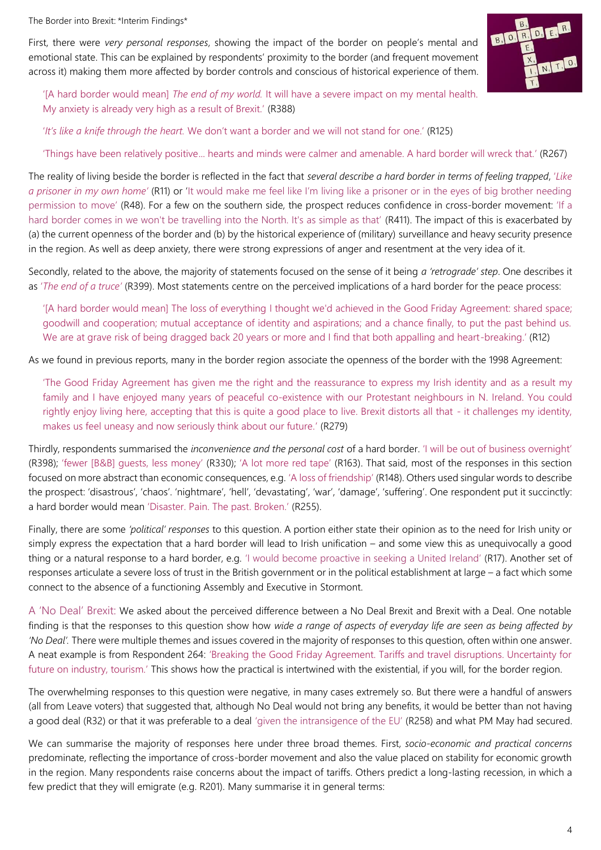First, there were *very personal responses*, showing the impact of the border on people's mental and emotional state. This can be explained by respondents' proximity to the border (and frequent movement across it) making them more affected by border controls and conscious of historical experience of them.



'[A hard border would mean] *The end of my world.* It will have a severe impact on my mental health. My anxiety is already very high as a result of Brexit.' (R388)

'*It's like a knife through the heart.* We don't want a border and we will not stand for one.' (R125)

'Things have been relatively positive... hearts and minds were calmer and amenable. A hard border will wreck that.' (R267)

The reality of living beside the border is reflected in the fact that *several describe a hard border in terms of feeling trapped*, '*Like a prisoner in my own home'* (R11) or 'It would make me feel like I'm living like a prisoner or in the eyes of big brother needing permission to move' (R48). For a few on the southern side, the prospect reduces confidence in cross-border movement: 'If a hard border comes in we won't be travelling into the North. It's as simple as that' (R411). The impact of this is exacerbated by (a) the current openness of the border and (b) by the historical experience of (military) surveillance and heavy security presence in the region. As well as deep anxiety, there were strong expressions of anger and resentment at the very idea of it.

Secondly, related to the above, the majority of statements focused on the sense of it being *a 'retrograde' step*. One describes it as '*The end of a truce'* (R399). Most statements centre on the perceived implications of a hard border for the peace process:

'[A hard border would mean] The loss of everything I thought we'd achieved in the Good Friday Agreement: shared space; goodwill and cooperation; mutual acceptance of identity and aspirations; and a chance finally, to put the past behind us. We are at grave risk of being dragged back 20 years or more and I find that both appalling and heart-breaking.' (R12)

As we found in previous reports, many in the border region associate the openness of the border with the 1998 Agreement:

'The Good Friday Agreement has given me the right and the reassurance to express my Irish identity and as a result my family and I have enjoyed many years of peaceful co-existence with our Protestant neighbours in N. Ireland. You could rightly enjoy living here, accepting that this is quite a good place to live. Brexit distorts all that - it challenges my identity, makes us feel uneasy and now seriously think about our future.' (R279)

Thirdly, respondents summarised the *inconvenience and the personal cost* of a hard border. 'I will be out of business overnight' (R398); 'fewer [B&B] guests, less money' (R330); 'A lot more red tape' (R163). That said, most of the responses in this section focused on more abstract than economic consequences, e.g. 'A loss of friendship' (R148). Others used singular words to describe the prospect: 'disastrous', 'chaos'. 'nightmare', 'hell', 'devastating', 'war', 'damage', 'suffering'. One respondent put it succinctly: a hard border would mean 'Disaster. Pain. The past. Broken.' (R255).

Finally, there are some *'political' responses* to this question. A portion either state their opinion as to the need for Irish unity or simply express the expectation that a hard border will lead to Irish unification – and some view this as unequivocally a good thing or a natural response to a hard border, e.g. 'I would become proactive in seeking a United Ireland' (R17). Another set of responses articulate a severe loss of trust in the British government or in the political establishment at large – a fact which some connect to the absence of a functioning Assembly and Executive in Stormont.

A 'No Deal' Brexit: We asked about the perceived difference between a No Deal Brexit and Brexit with a Deal. One notable finding is that the responses to this question show how *wide a range of aspects of everyday life are seen as being affected by 'No Deal'.* There were multiple themes and issues covered in the majority of responses to this question, often within one answer. A neat example is from Respondent 264: 'Breaking the Good Friday Agreement. Tariffs and travel disruptions. Uncertainty for future on industry, tourism.' This shows how the practical is intertwined with the existential, if you will, for the border region.

The overwhelming responses to this question were negative, in many cases extremely so. But there were a handful of answers (all from Leave voters) that suggested that, although No Deal would not bring any benefits, it would be better than not having a good deal (R32) or that it was preferable to a deal 'given the intransigence of the EU' (R258) and what PM May had secured.

We can summarise the majority of responses here under three broad themes. First, *socio-economic and practical concerns* predominate, reflecting the importance of cross-border movement and also the value placed on stability for economic growth in the region. Many respondents raise concerns about the impact of tariffs. Others predict a long-lasting recession, in which a few predict that they will emigrate (e.g. R201). Many summarise it in general terms: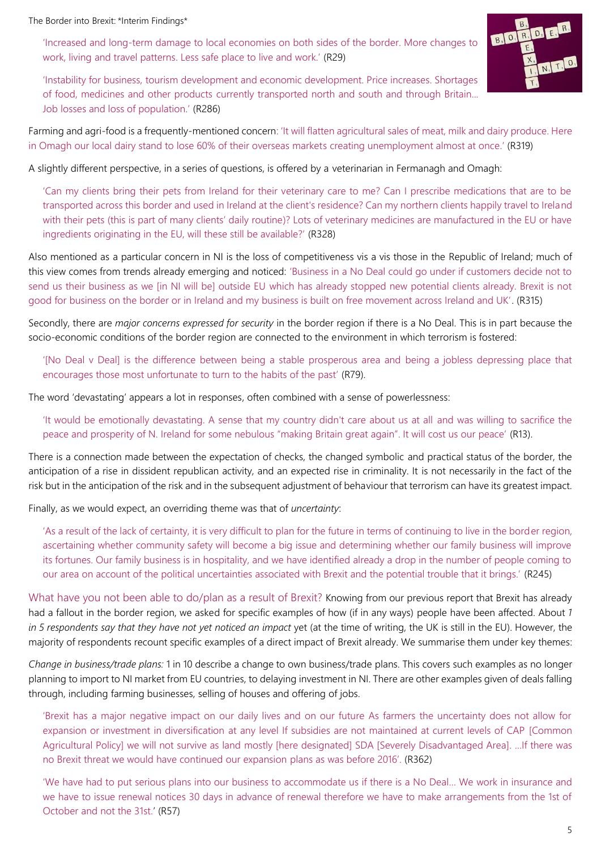'Increased and long-term damage to local economies on both sides of the border. More changes to work, living and travel patterns. Less safe place to live and work.' (R29)



'Instability for business, tourism development and economic development. Price increases. Shortages of food, medicines and other products currently transported north and south and through Britain... Job losses and loss of population.' (R286)

Farming and agri-food is a frequently-mentioned concern: 'It will flatten agricultural sales of meat, milk and dairy produce. Here in Omagh our local dairy stand to lose 60% of their overseas markets creating unemployment almost at once.' (R319)

A slightly different perspective, in a series of questions, is offered by a veterinarian in Fermanagh and Omagh:

'Can my clients bring their pets from Ireland for their veterinary care to me? Can I prescribe medications that are to be transported across this border and used in Ireland at the client's residence? Can my northern clients happily travel to Ireland with their pets (this is part of many clients' daily routine)? Lots of veterinary medicines are manufactured in the EU or have ingredients originating in the EU, will these still be available?' (R328)

Also mentioned as a particular concern in NI is the loss of competitiveness vis a vis those in the Republic of Ireland; much of this view comes from trends already emerging and noticed: 'Business in a No Deal could go under if customers decide not to send us their business as we [in NI will be] outside EU which has already stopped new potential clients already. Brexit is not good for business on the border or in Ireland and my business is built on free movement across Ireland and UK'. (R315)

Secondly, there are *major concerns expressed for security* in the border region if there is a No Deal. This is in part because the socio-economic conditions of the border region are connected to the environment in which terrorism is fostered:

'[No Deal v Deal] is the difference between being a stable prosperous area and being a jobless depressing place that encourages those most unfortunate to turn to the habits of the past' (R79).

The word 'devastating' appears a lot in responses, often combined with a sense of powerlessness:

'It would be emotionally devastating. A sense that my country didn't care about us at all and was willing to sacrifice the peace and prosperity of N. Ireland for some nebulous "making Britain great again". It will cost us our peace' (R13).

There is a connection made between the expectation of checks, the changed symbolic and practical status of the border, the anticipation of a rise in dissident republican activity, and an expected rise in criminality. It is not necessarily in the fact of the risk but in the anticipation of the risk and in the subsequent adjustment of behaviour that terrorism can have its greatest impact.

Finally, as we would expect, an overriding theme was that of *uncertainty*:

'As a result of the lack of certainty, it is very difficult to plan for the future in terms of continuing to live in the border region, ascertaining whether community safety will become a big issue and determining whether our family business will improve its fortunes. Our family business is in hospitality, and we have identified already a drop in the number of people coming to our area on account of the political uncertainties associated with Brexit and the potential trouble that it brings.' (R245)

What have you not been able to do/plan as a result of Brexit? Knowing from our previous report that Brexit has already had a fallout in the border region, we asked for specific examples of how (if in any ways) people have been affected. About *1 in 5 respondents say that they have not yet noticed an impact* yet (at the time of writing, the UK is still in the EU). However, the majority of respondents recount specific examples of a direct impact of Brexit already. We summarise them under key themes:

*Change in business/trade plans:* 1 in 10 describe a change to own business/trade plans. This covers such examples as no longer planning to import to NI market from EU countries, to delaying investment in NI. There are other examples given of deals falling through, including farming businesses, selling of houses and offering of jobs.

'Brexit has a major negative impact on our daily lives and on our future As farmers the uncertainty does not allow for expansion or investment in diversification at any level If subsidies are not maintained at current levels of CAP [Common Agricultural Policy] we will not survive as land mostly [here designated] SDA [Severely Disadvantaged Area]. …If there was no Brexit threat we would have continued our expansion plans as was before 2016'. (R362)

'We have had to put serious plans into our business to accommodate us if there is a No Deal… We work in insurance and we have to issue renewal notices 30 days in advance of renewal therefore we have to make arrangements from the 1st of October and not the 31st.' (R57)